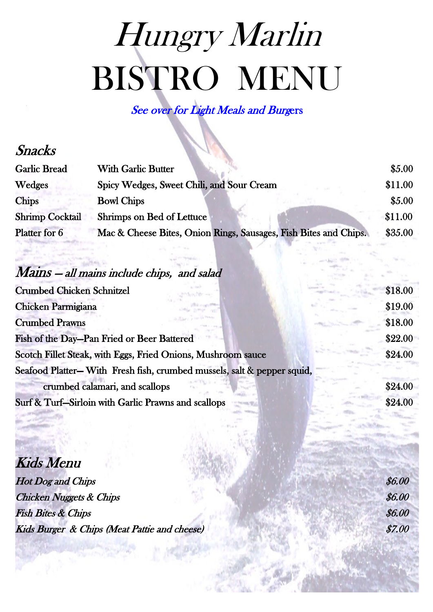# Hungry Marlin [BISTRO MENU](http://www.paradise-outfitters.com/marlin-fishing-venice-la)

See over for Light Meals and Burgers

#### Snacks

| <b>Garlic Bread</b>    | <b>With Garlic Butter</b>                                        | \$5.00\$ |
|------------------------|------------------------------------------------------------------|----------|
| Wedges                 | Spicy Wedges, Sweet Chili, and Sour Cream                        | \$11.00  |
| <b>Chips</b>           | <b>Bowl Chips</b>                                                | \$5.00\$ |
| <b>Shrimp Cocktail</b> | Shrimps on Bed of Lettuce                                        | \$11.00  |
| Platter for 6          | Mac & Cheese Bites, Onion Rings, Sausages, Fish Bites and Chips. | \$35.00  |

### Mains — all mains include chips, and salad

| <b>Crumbed Chicken Schnitzel</b>                                       | \$18.00 |
|------------------------------------------------------------------------|---------|
| Chicken Parmigiana                                                     | \$19.00 |
| <b>Crumbed Prawns</b>                                                  | \$18.00 |
| Fish of the Day-Pan Fried or Beer Battered                             | \$22.00 |
| Scotch Fillet Steak, with Eggs, Fried Onions, Mushroom sauce           | \$24.00 |
| Seafood Platter-With Fresh fish, crumbed mussels, salt & pepper squid, |         |
| crumbed calamari, and scallops                                         | \$24.00 |
| Surf & Turf-Sirloin with Garlic Prawns and scallops                    | \$24.00 |
|                                                                        |         |

Kids Menu

Hot Dog and Chips  $$6.00$  $\emph{Chicago}$  Nuggets & Chips  $$6.00$  $\emph{Fish Bites & Chips}$   $\emph{56.00}$ Kids Burger & Chips (Meat Pattie and cheese) \$7.00